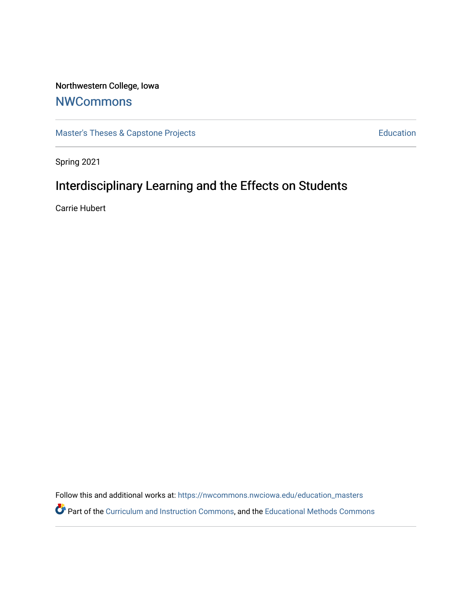# Northwestern College, Iowa

# **[NWCommons](https://nwcommons.nwciowa.edu/)**

[Master's Theses & Capstone Projects](https://nwcommons.nwciowa.edu/education_masters) **Education** Education

Spring 2021

# Interdisciplinary Learning and the Effects on Students

Carrie Hubert

Follow this and additional works at: [https://nwcommons.nwciowa.edu/education\\_masters](https://nwcommons.nwciowa.edu/education_masters?utm_source=nwcommons.nwciowa.edu%2Feducation_masters%2F284&utm_medium=PDF&utm_campaign=PDFCoverPages) Part of the [Curriculum and Instruction Commons,](http://network.bepress.com/hgg/discipline/786?utm_source=nwcommons.nwciowa.edu%2Feducation_masters%2F284&utm_medium=PDF&utm_campaign=PDFCoverPages) and the [Educational Methods Commons](http://network.bepress.com/hgg/discipline/1227?utm_source=nwcommons.nwciowa.edu%2Feducation_masters%2F284&utm_medium=PDF&utm_campaign=PDFCoverPages)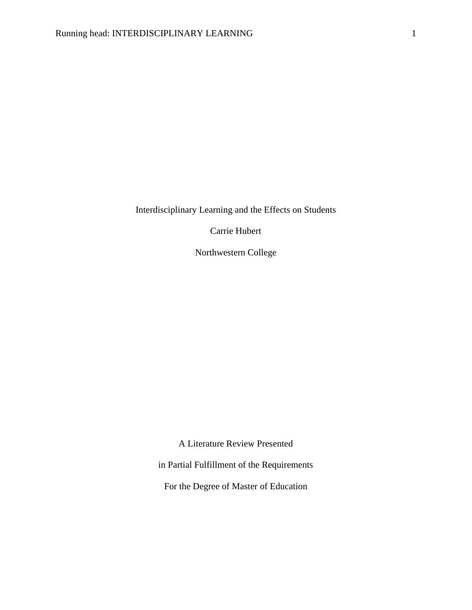Interdisciplinary Learning and the Effects on Students

Carrie Hubert

Northwestern College

A Literature Review Presented

in Partial Fulfillment of the Requirements

For the Degree of Master of Education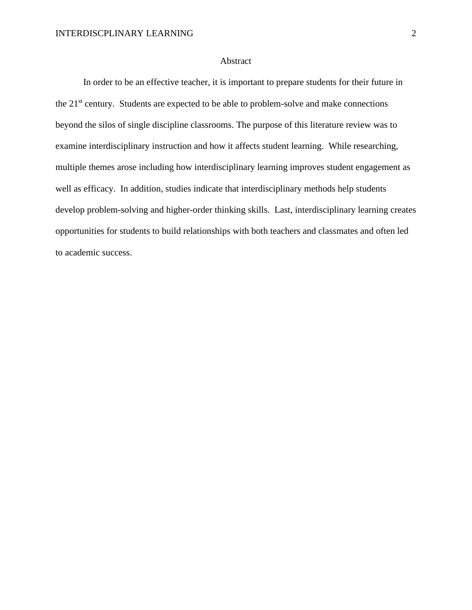#### Abstract

In order to be an effective teacher, it is important to prepare students for their future in the  $21<sup>st</sup>$  century. Students are expected to be able to problem-solve and make connections beyond the silos of single discipline classrooms. The purpose of this literature review was to examine interdisciplinary instruction and how it affects student learning. While researching, multiple themes arose including how interdisciplinary learning improves student engagement as well as efficacy. In addition, studies indicate that interdisciplinary methods help students develop problem-solving and higher-order thinking skills. Last, interdisciplinary learning creates opportunities for students to build relationships with both teachers and classmates and often led to academic success.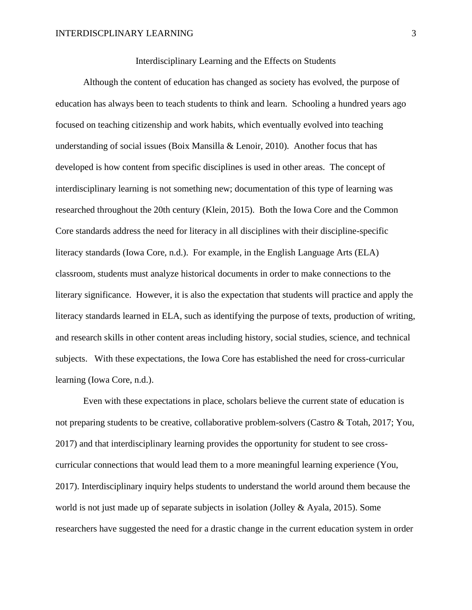Interdisciplinary Learning and the Effects on Students

Although the content of education has changed as society has evolved, the purpose of education has always been to teach students to think and learn. Schooling a hundred years ago focused on teaching citizenship and work habits, which eventually evolved into teaching understanding of social issues (Boix Mansilla & Lenoir, 2010). Another focus that has developed is how content from specific disciplines is used in other areas. The concept of interdisciplinary learning is not something new; documentation of this type of learning was researched throughout the 20th century (Klein, 2015). Both the Iowa Core and the Common Core standards address the need for literacy in all disciplines with their discipline-specific literacy standards (Iowa Core, n.d.). For example, in the English Language Arts (ELA) classroom, students must analyze historical documents in order to make connections to the literary significance. However, it is also the expectation that students will practice and apply the literacy standards learned in ELA, such as identifying the purpose of texts, production of writing, and research skills in other content areas including history, social studies, science, and technical subjects. With these expectations, the Iowa Core has established the need for cross-curricular learning (Iowa Core, n.d.).

Even with these expectations in place, scholars believe the current state of education is not preparing students to be creative, collaborative problem-solvers (Castro & Totah, 2017; You, 2017) and that interdisciplinary learning provides the opportunity for student to see crosscurricular connections that would lead them to a more meaningful learning experience (You, 2017). Interdisciplinary inquiry helps students to understand the world around them because the world is not just made up of separate subjects in isolation (Jolley & Ayala, 2015). Some researchers have suggested the need for a drastic change in the current education system in order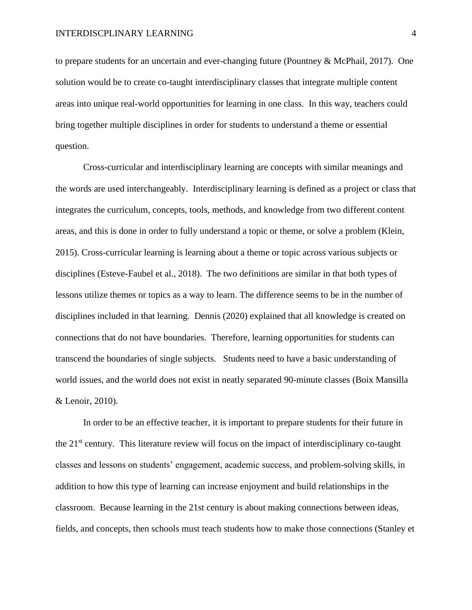to prepare students for an uncertain and ever-changing future (Pountney & McPhail, 2017). One solution would be to create co-taught interdisciplinary classes that integrate multiple content areas into unique real-world opportunities for learning in one class. In this way, teachers could bring together multiple disciplines in order for students to understand a theme or essential question.

Cross-curricular and interdisciplinary learning are concepts with similar meanings and the words are used interchangeably. Interdisciplinary learning is defined as a project or class that integrates the curriculum, concepts, tools, methods, and knowledge from two different content areas, and this is done in order to fully understand a topic or theme, or solve a problem (Klein, 2015). Cross-curricular learning is learning about a theme or topic across various subjects or disciplines (Esteve-Faubel et al., 2018). The two definitions are similar in that both types of lessons utilize themes or topics as a way to learn. The difference seems to be in the number of disciplines included in that learning. Dennis (2020) explained that all knowledge is created on connections that do not have boundaries. Therefore, learning opportunities for students can transcend the boundaries of single subjects. Students need to have a basic understanding of world issues, and the world does not exist in neatly separated 90-minute classes (Boix Mansilla & Lenoir, 2010).

In order to be an effective teacher, it is important to prepare students for their future in the 21st century. This literature review will focus on the impact of interdisciplinary co-taught classes and lessons on students' engagement, academic success, and problem-solving skills, in addition to how this type of learning can increase enjoyment and build relationships in the classroom. Because learning in the 21st century is about making connections between ideas, fields, and concepts, then schools must teach students how to make those connections (Stanley et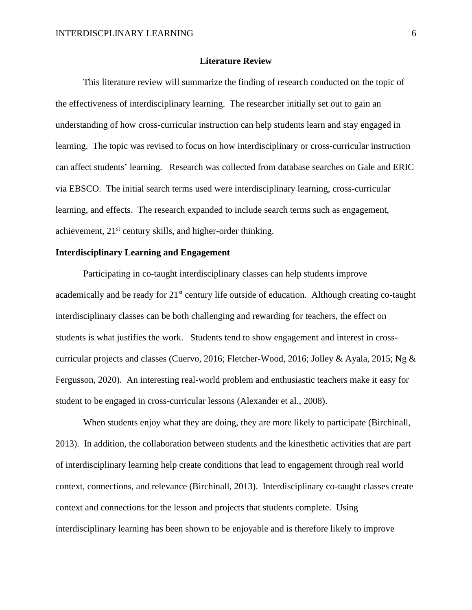#### **Literature Review**

This literature review will summarize the finding of research conducted on the topic of the effectiveness of interdisciplinary learning. The researcher initially set out to gain an understanding of how cross-curricular instruction can help students learn and stay engaged in learning. The topic was revised to focus on how interdisciplinary or cross-curricular instruction can affect students' learning. Research was collected from database searches on Gale and ERIC via EBSCO. The initial search terms used were interdisciplinary learning, cross-curricular learning, and effects. The research expanded to include search terms such as engagement, achievement, 21<sup>st</sup> century skills, and higher-order thinking.

# **Interdisciplinary Learning and Engagement**

Participating in co-taught interdisciplinary classes can help students improve academically and be ready for 21<sup>st</sup> century life outside of education. Although creating co-taught interdisciplinary classes can be both challenging and rewarding for teachers, the effect on students is what justifies the work. Students tend to show engagement and interest in crosscurricular projects and classes (Cuervo, 2016; Fletcher-Wood, 2016; Jolley & Ayala, 2015; Ng & Fergusson, 2020). An interesting real-world problem and enthusiastic teachers make it easy for student to be engaged in cross-curricular lessons (Alexander et al., 2008).

When students enjoy what they are doing, they are more likely to participate (Birchinall, 2013). In addition, the collaboration between students and the kinesthetic activities that are part of interdisciplinary learning help create conditions that lead to engagement through real world context, connections, and relevance (Birchinall, 2013). Interdisciplinary co-taught classes create context and connections for the lesson and projects that students complete. Using interdisciplinary learning has been shown to be enjoyable and is therefore likely to improve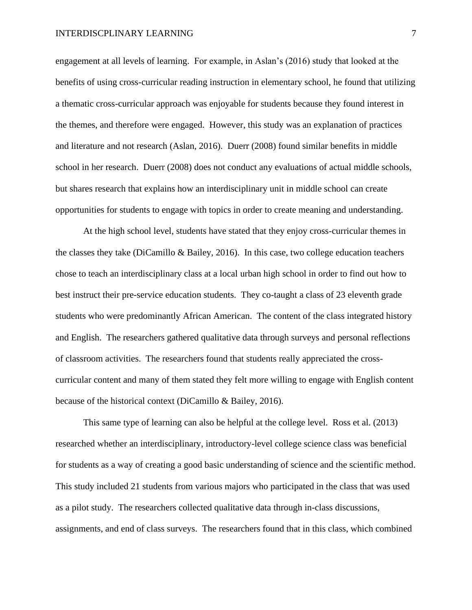engagement at all levels of learning. For example, in Aslan's (2016) study that looked at the benefits of using cross-curricular reading instruction in elementary school, he found that utilizing a thematic cross-curricular approach was enjoyable for students because they found interest in the themes, and therefore were engaged. However, this study was an explanation of practices and literature and not research (Aslan, 2016). Duerr (2008) found similar benefits in middle school in her research. Duerr (2008) does not conduct any evaluations of actual middle schools, but shares research that explains how an interdisciplinary unit in middle school can create opportunities for students to engage with topics in order to create meaning and understanding.

At the high school level, students have stated that they enjoy cross-curricular themes in the classes they take (DiCamillo & Bailey, 2016). In this case, two college education teachers chose to teach an interdisciplinary class at a local urban high school in order to find out how to best instruct their pre-service education students. They co-taught a class of 23 eleventh grade students who were predominantly African American. The content of the class integrated history and English. The researchers gathered qualitative data through surveys and personal reflections of classroom activities. The researchers found that students really appreciated the crosscurricular content and many of them stated they felt more willing to engage with English content because of the historical context (DiCamillo & Bailey, 2016).

This same type of learning can also be helpful at the college level. Ross et al. (2013) researched whether an interdisciplinary, introductory-level college science class was beneficial for students as a way of creating a good basic understanding of science and the scientific method. This study included 21 students from various majors who participated in the class that was used as a pilot study. The researchers collected qualitative data through in-class discussions, assignments, and end of class surveys. The researchers found that in this class, which combined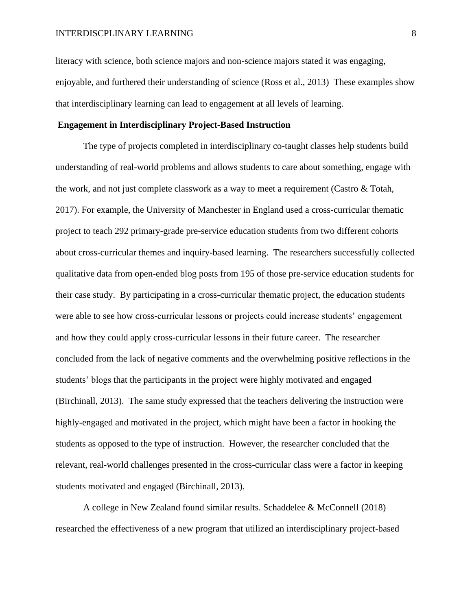literacy with science, both science majors and non-science majors stated it was engaging, enjoyable, and furthered their understanding of science (Ross et al., 2013) These examples show that interdisciplinary learning can lead to engagement at all levels of learning.

# **Engagement in Interdisciplinary Project-Based Instruction**

The type of projects completed in interdisciplinary co-taught classes help students build understanding of real-world problems and allows students to care about something, engage with the work, and not just complete classwork as a way to meet a requirement (Castro & Totah, 2017). For example, the University of Manchester in England used a cross-curricular thematic project to teach 292 primary-grade pre-service education students from two different cohorts about cross-curricular themes and inquiry-based learning. The researchers successfully collected qualitative data from open-ended blog posts from 195 of those pre-service education students for their case study. By participating in a cross-curricular thematic project, the education students were able to see how cross-curricular lessons or projects could increase students' engagement and how they could apply cross-curricular lessons in their future career. The researcher concluded from the lack of negative comments and the overwhelming positive reflections in the students' blogs that the participants in the project were highly motivated and engaged (Birchinall, 2013). The same study expressed that the teachers delivering the instruction were highly-engaged and motivated in the project, which might have been a factor in hooking the students as opposed to the type of instruction. However, the researcher concluded that the relevant, real-world challenges presented in the cross-curricular class were a factor in keeping students motivated and engaged (Birchinall, 2013).

A college in New Zealand found similar results. Schaddelee & McConnell (2018) researched the effectiveness of a new program that utilized an interdisciplinary project-based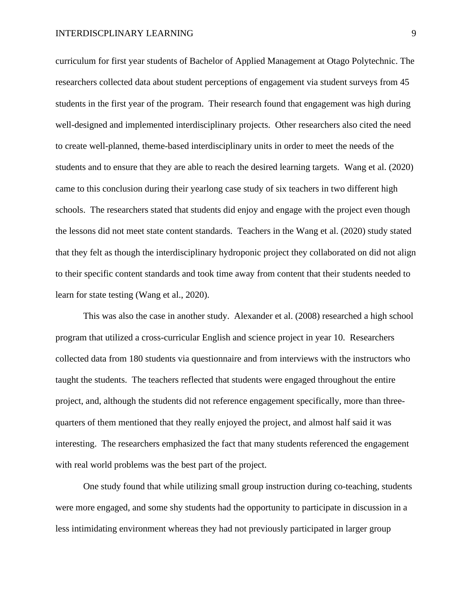curriculum for first year students of Bachelor of Applied Management at Otago Polytechnic. The researchers collected data about student perceptions of engagement via student surveys from 45 students in the first year of the program. Their research found that engagement was high during well-designed and implemented interdisciplinary projects. Other researchers also cited the need to create well-planned, theme-based interdisciplinary units in order to meet the needs of the students and to ensure that they are able to reach the desired learning targets. Wang et al. (2020) came to this conclusion during their yearlong case study of six teachers in two different high schools. The researchers stated that students did enjoy and engage with the project even though the lessons did not meet state content standards. Teachers in the Wang et al. (2020) study stated that they felt as though the interdisciplinary hydroponic project they collaborated on did not align to their specific content standards and took time away from content that their students needed to learn for state testing (Wang et al., 2020).

This was also the case in another study. Alexander et al. (2008) researched a high school program that utilized a cross-curricular English and science project in year 10. Researchers collected data from 180 students via questionnaire and from interviews with the instructors who taught the students. The teachers reflected that students were engaged throughout the entire project, and, although the students did not reference engagement specifically, more than threequarters of them mentioned that they really enjoyed the project, and almost half said it was interesting. The researchers emphasized the fact that many students referenced the engagement with real world problems was the best part of the project.

One study found that while utilizing small group instruction during co-teaching, students were more engaged, and some shy students had the opportunity to participate in discussion in a less intimidating environment whereas they had not previously participated in larger group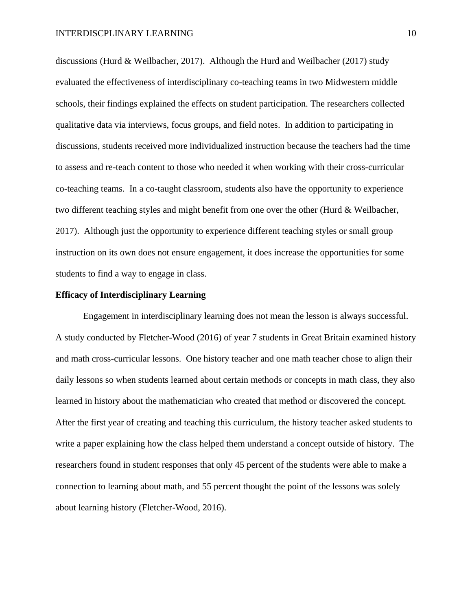discussions (Hurd & Weilbacher, 2017). Although the Hurd and Weilbacher (2017) study evaluated the effectiveness of interdisciplinary co-teaching teams in two Midwestern middle schools, their findings explained the effects on student participation. The researchers collected qualitative data via interviews, focus groups, and field notes. In addition to participating in discussions, students received more individualized instruction because the teachers had the time to assess and re-teach content to those who needed it when working with their cross-curricular co-teaching teams. In a co-taught classroom, students also have the opportunity to experience two different teaching styles and might benefit from one over the other (Hurd & Weilbacher, 2017). Although just the opportunity to experience different teaching styles or small group instruction on its own does not ensure engagement, it does increase the opportunities for some students to find a way to engage in class.

### **Efficacy of Interdisciplinary Learning**

Engagement in interdisciplinary learning does not mean the lesson is always successful. A study conducted by Fletcher-Wood (2016) of year 7 students in Great Britain examined history and math cross-curricular lessons. One history teacher and one math teacher chose to align their daily lessons so when students learned about certain methods or concepts in math class, they also learned in history about the mathematician who created that method or discovered the concept. After the first year of creating and teaching this curriculum, the history teacher asked students to write a paper explaining how the class helped them understand a concept outside of history. The researchers found in student responses that only 45 percent of the students were able to make a connection to learning about math, and 55 percent thought the point of the lessons was solely about learning history (Fletcher-Wood, 2016).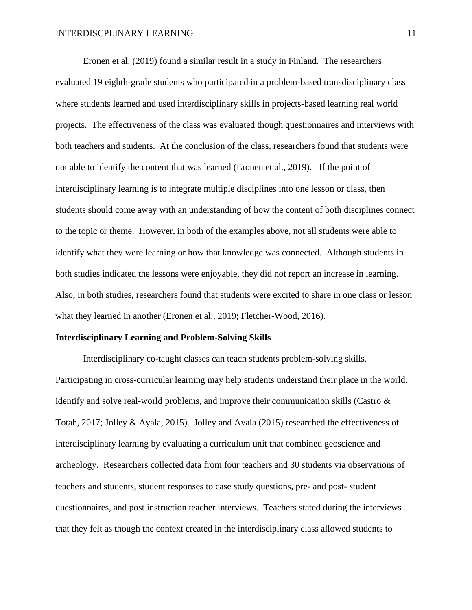Eronen et al. (2019) found a similar result in a study in Finland. The researchers evaluated 19 eighth-grade students who participated in a problem-based transdisciplinary class where students learned and used interdisciplinary skills in projects-based learning real world projects. The effectiveness of the class was evaluated though questionnaires and interviews with both teachers and students. At the conclusion of the class, researchers found that students were not able to identify the content that was learned (Eronen et al., 2019). If the point of interdisciplinary learning is to integrate multiple disciplines into one lesson or class, then students should come away with an understanding of how the content of both disciplines connect to the topic or theme. However, in both of the examples above, not all students were able to identify what they were learning or how that knowledge was connected. Although students in both studies indicated the lessons were enjoyable, they did not report an increase in learning. Also, in both studies, researchers found that students were excited to share in one class or lesson what they learned in another (Eronen et al., 2019; Fletcher-Wood, 2016).

#### **Interdisciplinary Learning and Problem-Solving Skills**

Interdisciplinary co-taught classes can teach students problem-solving skills. Participating in cross-curricular learning may help students understand their place in the world, identify and solve real-world problems, and improve their communication skills (Castro & Totah, 2017; Jolley & Ayala, 2015). Jolley and Ayala (2015) researched the effectiveness of interdisciplinary learning by evaluating a curriculum unit that combined geoscience and archeology. Researchers collected data from four teachers and 30 students via observations of teachers and students, student responses to case study questions, pre- and post- student questionnaires, and post instruction teacher interviews. Teachers stated during the interviews that they felt as though the context created in the interdisciplinary class allowed students to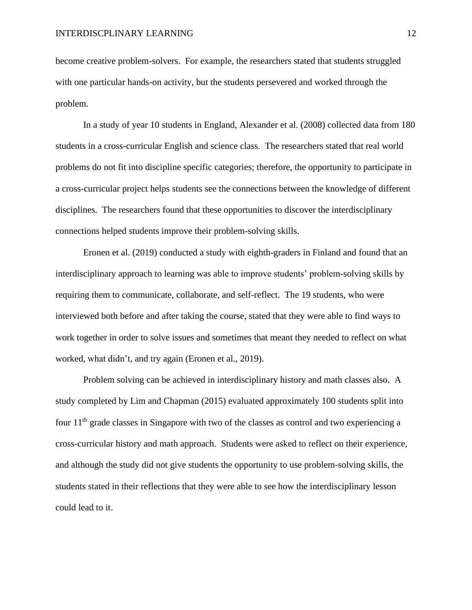become creative problem-solvers. For example, the researchers stated that students struggled with one particular hands-on activity, but the students persevered and worked through the problem.

In a study of year 10 students in England, Alexander et al. (2008) collected data from 180 students in a cross-curricular English and science class. The researchers stated that real world problems do not fit into discipline specific categories; therefore, the opportunity to participate in a cross-curricular project helps students see the connections between the knowledge of different disciplines. The researchers found that these opportunities to discover the interdisciplinary connections helped students improve their problem-solving skills.

Eronen et al. (2019) conducted a study with eighth-graders in Finland and found that an interdisciplinary approach to learning was able to improve students' problem-solving skills by requiring them to communicate, collaborate, and self-reflect. The 19 students, who were interviewed both before and after taking the course, stated that they were able to find ways to work together in order to solve issues and sometimes that meant they needed to reflect on what worked, what didn't, and try again (Eronen et al., 2019).

Problem solving can be achieved in interdisciplinary history and math classes also. A study completed by Lim and Chapman (2015) evaluated approximately 100 students split into four  $11<sup>th</sup>$  grade classes in Singapore with two of the classes as control and two experiencing a cross-curricular history and math approach. Students were asked to reflect on their experience, and although the study did not give students the opportunity to use problem-solving skills, the students stated in their reflections that they were able to see how the interdisciplinary lesson could lead to it.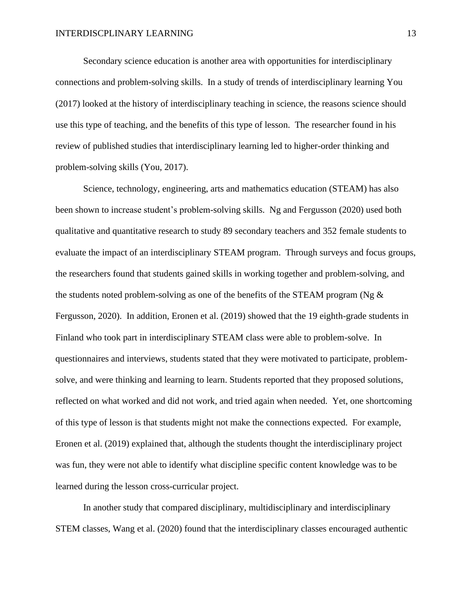Secondary science education is another area with opportunities for interdisciplinary connections and problem-solving skills. In a study of trends of interdisciplinary learning You (2017) looked at the history of interdisciplinary teaching in science, the reasons science should use this type of teaching, and the benefits of this type of lesson. The researcher found in his review of published studies that interdisciplinary learning led to higher-order thinking and problem-solving skills (You, 2017).

Science, technology, engineering, arts and mathematics education (STEAM) has also been shown to increase student's problem-solving skills. Ng and Fergusson (2020) used both qualitative and quantitative research to study 89 secondary teachers and 352 female students to evaluate the impact of an interdisciplinary STEAM program. Through surveys and focus groups, the researchers found that students gained skills in working together and problem-solving, and the students noted problem-solving as one of the benefits of the STEAM program (Ng & Fergusson, 2020). In addition, Eronen et al. (2019) showed that the 19 eighth-grade students in Finland who took part in interdisciplinary STEAM class were able to problem-solve. In questionnaires and interviews, students stated that they were motivated to participate, problemsolve, and were thinking and learning to learn. Students reported that they proposed solutions, reflected on what worked and did not work, and tried again when needed. Yet, one shortcoming of this type of lesson is that students might not make the connections expected. For example, Eronen et al. (2019) explained that, although the students thought the interdisciplinary project was fun, they were not able to identify what discipline specific content knowledge was to be learned during the lesson cross-curricular project.

In another study that compared disciplinary, multidisciplinary and interdisciplinary STEM classes, Wang et al. (2020) found that the interdisciplinary classes encouraged authentic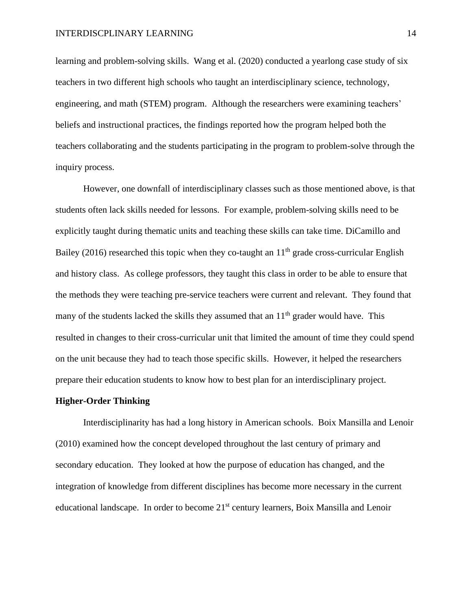learning and problem-solving skills. Wang et al. (2020) conducted a yearlong case study of six teachers in two different high schools who taught an interdisciplinary science, technology, engineering, and math (STEM) program. Although the researchers were examining teachers' beliefs and instructional practices, the findings reported how the program helped both the teachers collaborating and the students participating in the program to problem-solve through the inquiry process.

However, one downfall of interdisciplinary classes such as those mentioned above, is that students often lack skills needed for lessons. For example, problem-solving skills need to be explicitly taught during thematic units and teaching these skills can take time. DiCamillo and Bailey (2016) researched this topic when they co-taught an  $11<sup>th</sup>$  grade cross-curricular English and history class. As college professors, they taught this class in order to be able to ensure that the methods they were teaching pre-service teachers were current and relevant. They found that many of the students lacked the skills they assumed that an  $11<sup>th</sup>$  grader would have. This resulted in changes to their cross-curricular unit that limited the amount of time they could spend on the unit because they had to teach those specific skills. However, it helped the researchers prepare their education students to know how to best plan for an interdisciplinary project.

#### **Higher-Order Thinking**

Interdisciplinarity has had a long history in American schools. Boix Mansilla and Lenoir (2010) examined how the concept developed throughout the last century of primary and secondary education. They looked at how the purpose of education has changed, and the integration of knowledge from different disciplines has become more necessary in the current educational landscape. In order to become 21<sup>st</sup> century learners, Boix Mansilla and Lenoir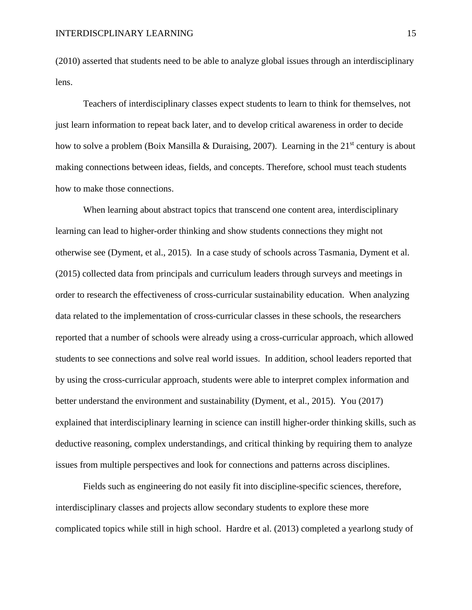(2010) asserted that students need to be able to analyze global issues through an interdisciplinary lens.

Teachers of interdisciplinary classes expect students to learn to think for themselves, not just learn information to repeat back later, and to develop critical awareness in order to decide how to solve a problem (Boix Mansilla & Duraising, 2007). Learning in the 21<sup>st</sup> century is about making connections between ideas, fields, and concepts. Therefore, school must teach students how to make those connections.

When learning about abstract topics that transcend one content area, interdisciplinary learning can lead to higher-order thinking and show students connections they might not otherwise see (Dyment, et al., 2015). In a case study of schools across Tasmania, Dyment et al. (2015) collected data from principals and curriculum leaders through surveys and meetings in order to research the effectiveness of cross-curricular sustainability education. When analyzing data related to the implementation of cross-curricular classes in these schools, the researchers reported that a number of schools were already using a cross-curricular approach, which allowed students to see connections and solve real world issues. In addition, school leaders reported that by using the cross-curricular approach, students were able to interpret complex information and better understand the environment and sustainability (Dyment, et al., 2015). You (2017) explained that interdisciplinary learning in science can instill higher-order thinking skills, such as deductive reasoning, complex understandings, and critical thinking by requiring them to analyze issues from multiple perspectives and look for connections and patterns across disciplines.

Fields such as engineering do not easily fit into discipline-specific sciences, therefore, interdisciplinary classes and projects allow secondary students to explore these more complicated topics while still in high school. Hardre et al. (2013) completed a yearlong study of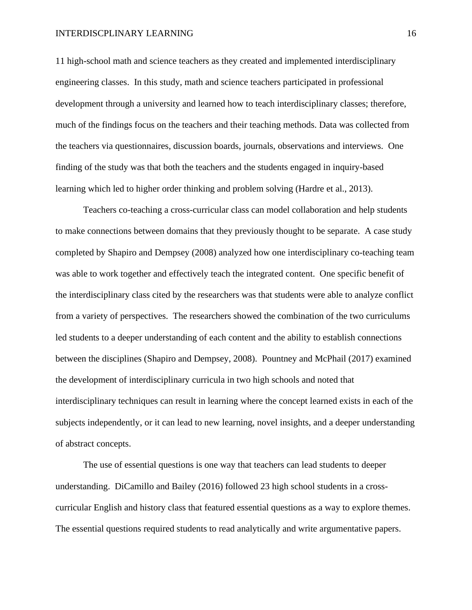11 high-school math and science teachers as they created and implemented interdisciplinary engineering classes. In this study, math and science teachers participated in professional development through a university and learned how to teach interdisciplinary classes; therefore, much of the findings focus on the teachers and their teaching methods. Data was collected from the teachers via questionnaires, discussion boards, journals, observations and interviews. One finding of the study was that both the teachers and the students engaged in inquiry-based learning which led to higher order thinking and problem solving (Hardre et al., 2013).

Teachers co-teaching a cross-curricular class can model collaboration and help students to make connections between domains that they previously thought to be separate. A case study completed by Shapiro and Dempsey (2008) analyzed how one interdisciplinary co-teaching team was able to work together and effectively teach the integrated content. One specific benefit of the interdisciplinary class cited by the researchers was that students were able to analyze conflict from a variety of perspectives. The researchers showed the combination of the two curriculums led students to a deeper understanding of each content and the ability to establish connections between the disciplines (Shapiro and Dempsey, 2008). Pountney and McPhail (2017) examined the development of interdisciplinary curricula in two high schools and noted that interdisciplinary techniques can result in learning where the concept learned exists in each of the subjects independently, or it can lead to new learning, novel insights, and a deeper understanding of abstract concepts.

The use of essential questions is one way that teachers can lead students to deeper understanding. DiCamillo and Bailey (2016) followed 23 high school students in a crosscurricular English and history class that featured essential questions as a way to explore themes. The essential questions required students to read analytically and write argumentative papers.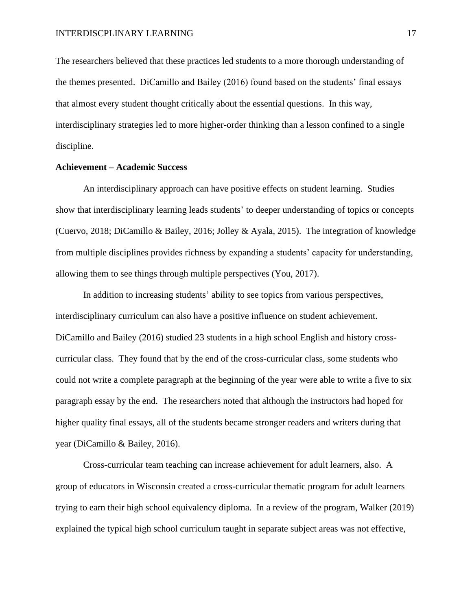The researchers believed that these practices led students to a more thorough understanding of the themes presented. DiCamillo and Bailey (2016) found based on the students' final essays that almost every student thought critically about the essential questions. In this way, interdisciplinary strategies led to more higher-order thinking than a lesson confined to a single discipline.

# **Achievement – Academic Success**

An interdisciplinary approach can have positive effects on student learning. Studies show that interdisciplinary learning leads students' to deeper understanding of topics or concepts (Cuervo, 2018; DiCamillo & Bailey, 2016; Jolley & Ayala, 2015). The integration of knowledge from multiple disciplines provides richness by expanding a students' capacity for understanding, allowing them to see things through multiple perspectives (You, 2017).

In addition to increasing students' ability to see topics from various perspectives, interdisciplinary curriculum can also have a positive influence on student achievement. DiCamillo and Bailey (2016) studied 23 students in a high school English and history crosscurricular class. They found that by the end of the cross-curricular class, some students who could not write a complete paragraph at the beginning of the year were able to write a five to six paragraph essay by the end. The researchers noted that although the instructors had hoped for higher quality final essays, all of the students became stronger readers and writers during that year (DiCamillo & Bailey, 2016).

Cross-curricular team teaching can increase achievement for adult learners, also. A group of educators in Wisconsin created a cross-curricular thematic program for adult learners trying to earn their high school equivalency diploma. In a review of the program, Walker (2019) explained the typical high school curriculum taught in separate subject areas was not effective,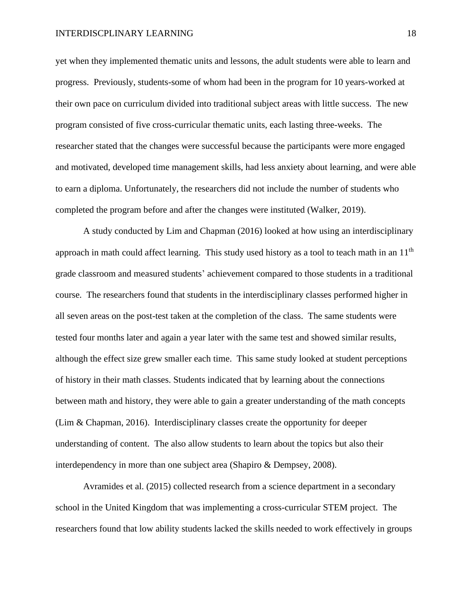yet when they implemented thematic units and lessons, the adult students were able to learn and progress. Previously, students-some of whom had been in the program for 10 years-worked at their own pace on curriculum divided into traditional subject areas with little success. The new program consisted of five cross-curricular thematic units, each lasting three-weeks. The researcher stated that the changes were successful because the participants were more engaged and motivated, developed time management skills, had less anxiety about learning, and were able to earn a diploma. Unfortunately, the researchers did not include the number of students who completed the program before and after the changes were instituted (Walker, 2019).

A study conducted by Lim and Chapman (2016) looked at how using an interdisciplinary approach in math could affect learning. This study used history as a tool to teach math in an 11<sup>th</sup> grade classroom and measured students' achievement compared to those students in a traditional course. The researchers found that students in the interdisciplinary classes performed higher in all seven areas on the post-test taken at the completion of the class. The same students were tested four months later and again a year later with the same test and showed similar results, although the effect size grew smaller each time. This same study looked at student perceptions of history in their math classes. Students indicated that by learning about the connections between math and history, they were able to gain a greater understanding of the math concepts (Lim & Chapman, 2016). Interdisciplinary classes create the opportunity for deeper understanding of content. The also allow students to learn about the topics but also their interdependency in more than one subject area (Shapiro & Dempsey, 2008).

Avramides et al. (2015) collected research from a science department in a secondary school in the United Kingdom that was implementing a cross-curricular STEM project. The researchers found that low ability students lacked the skills needed to work effectively in groups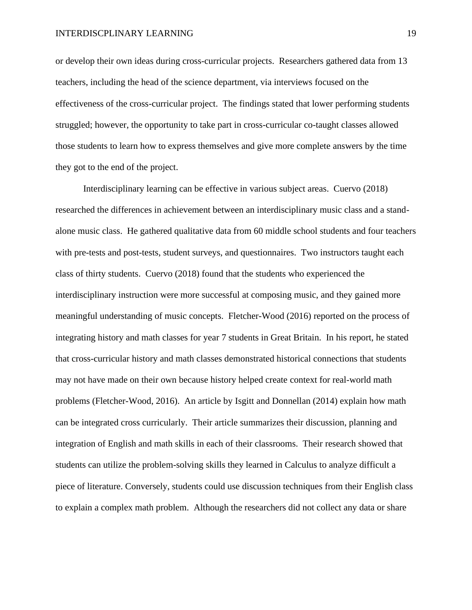or develop their own ideas during cross-curricular projects. Researchers gathered data from 13 teachers, including the head of the science department, via interviews focused on the effectiveness of the cross-curricular project. The findings stated that lower performing students struggled; however, the opportunity to take part in cross-curricular co-taught classes allowed those students to learn how to express themselves and give more complete answers by the time they got to the end of the project.

Interdisciplinary learning can be effective in various subject areas. Cuervo (2018) researched the differences in achievement between an interdisciplinary music class and a standalone music class. He gathered qualitative data from 60 middle school students and four teachers with pre-tests and post-tests, student surveys, and questionnaires. Two instructors taught each class of thirty students. Cuervo (2018) found that the students who experienced the interdisciplinary instruction were more successful at composing music, and they gained more meaningful understanding of music concepts. Fletcher-Wood (2016) reported on the process of integrating history and math classes for year 7 students in Great Britain. In his report, he stated that cross-curricular history and math classes demonstrated historical connections that students may not have made on their own because history helped create context for real-world math problems (Fletcher-Wood, 2016). An article by Isgitt and Donnellan (2014) explain how math can be integrated cross curricularly. Their article summarizes their discussion, planning and integration of English and math skills in each of their classrooms. Their research showed that students can utilize the problem-solving skills they learned in Calculus to analyze difficult a piece of literature. Conversely, students could use discussion techniques from their English class to explain a complex math problem. Although the researchers did not collect any data or share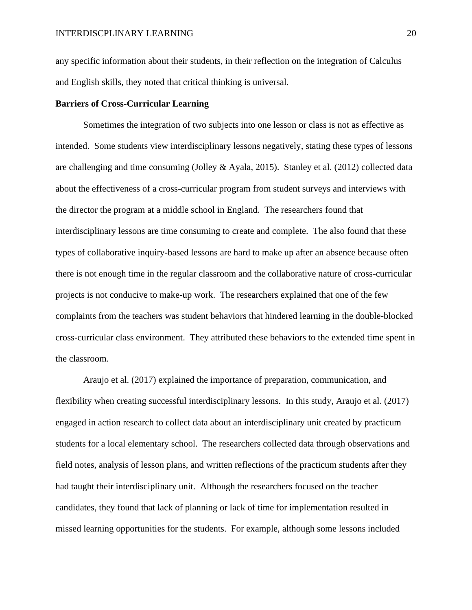any specific information about their students, in their reflection on the integration of Calculus and English skills, they noted that critical thinking is universal.

# **Barriers of Cross-Curricular Learning**

Sometimes the integration of two subjects into one lesson or class is not as effective as intended. Some students view interdisciplinary lessons negatively, stating these types of lessons are challenging and time consuming (Jolley & Ayala, 2015). Stanley et al. (2012) collected data about the effectiveness of a cross-curricular program from student surveys and interviews with the director the program at a middle school in England. The researchers found that interdisciplinary lessons are time consuming to create and complete. The also found that these types of collaborative inquiry-based lessons are hard to make up after an absence because often there is not enough time in the regular classroom and the collaborative nature of cross-curricular projects is not conducive to make-up work. The researchers explained that one of the few complaints from the teachers was student behaviors that hindered learning in the double-blocked cross-curricular class environment. They attributed these behaviors to the extended time spent in the classroom.

Araujo et al. (2017) explained the importance of preparation, communication, and flexibility when creating successful interdisciplinary lessons. In this study, Araujo et al. (2017) engaged in action research to collect data about an interdisciplinary unit created by practicum students for a local elementary school. The researchers collected data through observations and field notes, analysis of lesson plans, and written reflections of the practicum students after they had taught their interdisciplinary unit. Although the researchers focused on the teacher candidates, they found that lack of planning or lack of time for implementation resulted in missed learning opportunities for the students. For example, although some lessons included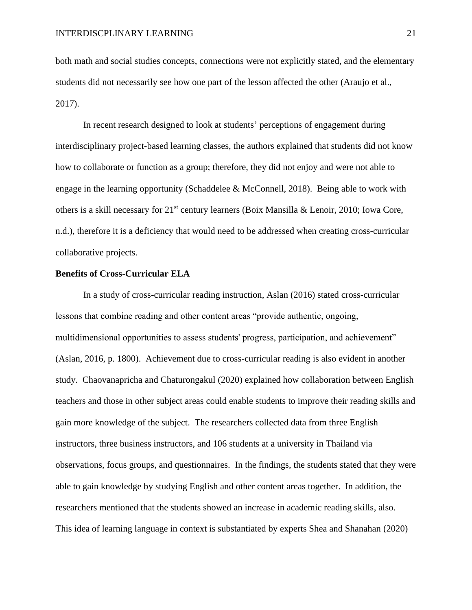both math and social studies concepts, connections were not explicitly stated, and the elementary students did not necessarily see how one part of the lesson affected the other (Araujo et al., 2017).

In recent research designed to look at students' perceptions of engagement during interdisciplinary project-based learning classes, the authors explained that students did not know how to collaborate or function as a group; therefore, they did not enjoy and were not able to engage in the learning opportunity (Schaddelee & McConnell, 2018). Being able to work with others is a skill necessary for 21<sup>st</sup> century learners (Boix Mansilla & Lenoir, 2010; Iowa Core, n.d.), therefore it is a deficiency that would need to be addressed when creating cross-curricular collaborative projects.

#### **Benefits of Cross-Curricular ELA**

In a study of cross-curricular reading instruction, Aslan (2016) stated cross-curricular lessons that combine reading and other content areas "provide authentic, ongoing, multidimensional opportunities to assess students' progress, participation, and achievement" (Aslan, 2016, p. 1800). Achievement due to cross-curricular reading is also evident in another study. Chaovanapricha and Chaturongakul (2020) explained how collaboration between English teachers and those in other subject areas could enable students to improve their reading skills and gain more knowledge of the subject. The researchers collected data from three English instructors, three business instructors, and 106 students at a university in Thailand via observations, focus groups, and questionnaires. In the findings, the students stated that they were able to gain knowledge by studying English and other content areas together. In addition, the researchers mentioned that the students showed an increase in academic reading skills, also. This idea of learning language in context is substantiated by experts Shea and Shanahan (2020)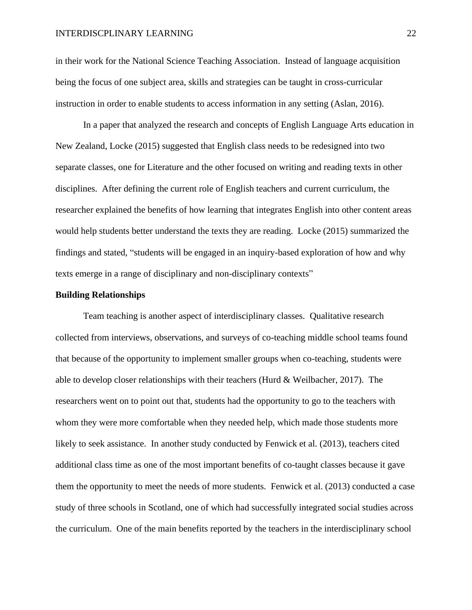in their work for the National Science Teaching Association. Instead of language acquisition being the focus of one subject area, skills and strategies can be taught in cross-curricular instruction in order to enable students to access information in any setting (Aslan, 2016).

In a paper that analyzed the research and concepts of English Language Arts education in New Zealand, Locke (2015) suggested that English class needs to be redesigned into two separate classes, one for Literature and the other focused on writing and reading texts in other disciplines. After defining the current role of English teachers and current curriculum, the researcher explained the benefits of how learning that integrates English into other content areas would help students better understand the texts they are reading. Locke (2015) summarized the findings and stated, "students will be engaged in an inquiry-based exploration of how and why texts emerge in a range of disciplinary and non-disciplinary contexts"

# **Building Relationships**

Team teaching is another aspect of interdisciplinary classes. Qualitative research collected from interviews, observations, and surveys of co-teaching middle school teams found that because of the opportunity to implement smaller groups when co-teaching, students were able to develop closer relationships with their teachers (Hurd  $&$  Weilbacher, 2017). The researchers went on to point out that, students had the opportunity to go to the teachers with whom they were more comfortable when they needed help, which made those students more likely to seek assistance. In another study conducted by Fenwick et al. (2013), teachers cited additional class time as one of the most important benefits of co-taught classes because it gave them the opportunity to meet the needs of more students. Fenwick et al. (2013) conducted a case study of three schools in Scotland, one of which had successfully integrated social studies across the curriculum. One of the main benefits reported by the teachers in the interdisciplinary school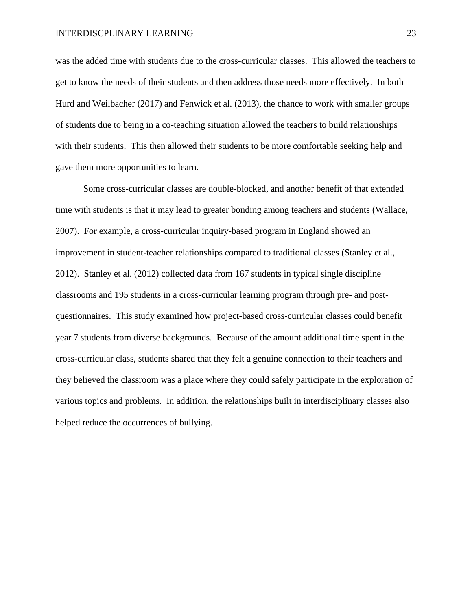was the added time with students due to the cross-curricular classes. This allowed the teachers to get to know the needs of their students and then address those needs more effectively. In both Hurd and Weilbacher (2017) and Fenwick et al. (2013), the chance to work with smaller groups of students due to being in a co-teaching situation allowed the teachers to build relationships with their students. This then allowed their students to be more comfortable seeking help and gave them more opportunities to learn.

Some cross-curricular classes are double-blocked, and another benefit of that extended time with students is that it may lead to greater bonding among teachers and students (Wallace, 2007). For example, a cross-curricular inquiry-based program in England showed an improvement in student-teacher relationships compared to traditional classes (Stanley et al., 2012). Stanley et al. (2012) collected data from 167 students in typical single discipline classrooms and 195 students in a cross-curricular learning program through pre- and postquestionnaires. This study examined how project-based cross-curricular classes could benefit year 7 students from diverse backgrounds. Because of the amount additional time spent in the cross-curricular class, students shared that they felt a genuine connection to their teachers and they believed the classroom was a place where they could safely participate in the exploration of various topics and problems. In addition, the relationships built in interdisciplinary classes also helped reduce the occurrences of bullying.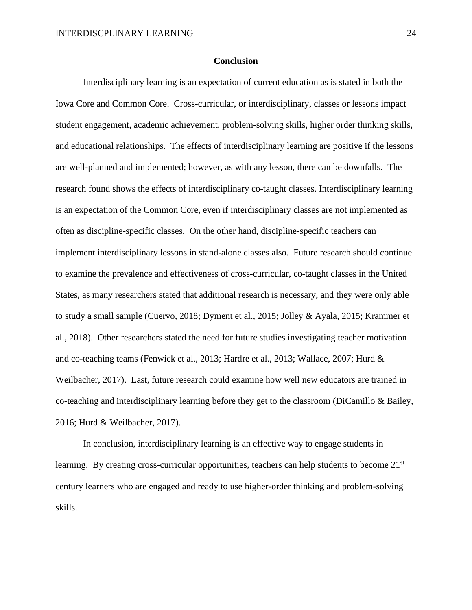#### **Conclusion**

Interdisciplinary learning is an expectation of current education as is stated in both the Iowa Core and Common Core. Cross-curricular, or interdisciplinary, classes or lessons impact student engagement, academic achievement, problem-solving skills, higher order thinking skills, and educational relationships. The effects of interdisciplinary learning are positive if the lessons are well-planned and implemented; however, as with any lesson, there can be downfalls. The research found shows the effects of interdisciplinary co-taught classes. Interdisciplinary learning is an expectation of the Common Core, even if interdisciplinary classes are not implemented as often as discipline-specific classes. On the other hand, discipline-specific teachers can implement interdisciplinary lessons in stand-alone classes also. Future research should continue to examine the prevalence and effectiveness of cross-curricular, co-taught classes in the United States, as many researchers stated that additional research is necessary, and they were only able to study a small sample (Cuervo, 2018; Dyment et al., 2015; Jolley & Ayala, 2015; Krammer et al., 2018). Other researchers stated the need for future studies investigating teacher motivation and co-teaching teams (Fenwick et al., 2013; Hardre et al., 2013; Wallace, 2007; Hurd & Weilbacher, 2017). Last, future research could examine how well new educators are trained in co-teaching and interdisciplinary learning before they get to the classroom (DiCamillo  $\&$  Bailey, 2016; Hurd & Weilbacher, 2017).

In conclusion, interdisciplinary learning is an effective way to engage students in learning. By creating cross-curricular opportunities, teachers can help students to become 21<sup>st</sup> century learners who are engaged and ready to use higher-order thinking and problem-solving skills.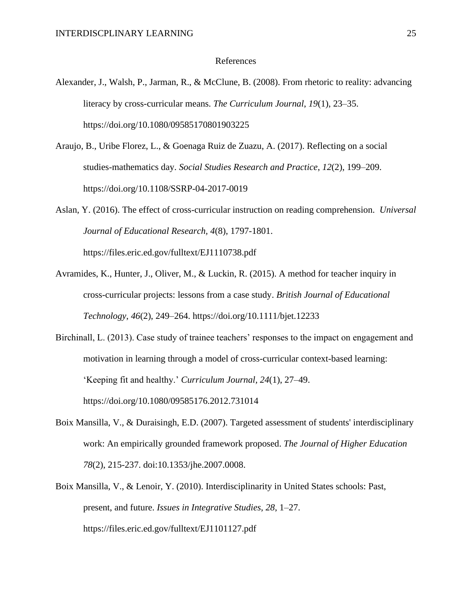#### References

- Alexander, J., Walsh, P., Jarman, R., & McClune, B. (2008). From rhetoric to reality: advancing literacy by cross-curricular means. *The Curriculum Journal*, *19*(1), 23–35. https://doi.org/10.1080/09585170801903225
- Araujo, B., Uribe Florez, L., & Goenaga Ruiz de Zuazu, A. (2017). Reflecting on a social studies-mathematics day. *Social Studies Research and Practice*, *12*(2), 199–209. https://doi.org/10.1108/SSRP-04-2017-0019
- Aslan, Y. (2016). The effect of cross-curricular instruction on reading comprehension. *Universal Journal of Educational Research, 4*(8), 1797-1801. https://files.eric.ed.gov/fulltext/EJ1110738.pdf
- Avramides, K., Hunter, J., Oliver, M., & Luckin, R. (2015). A method for teacher inquiry in cross-curricular projects: lessons from a case study. *British Journal of Educational Technology*, *46*(2), 249–264. https://doi.org/10.1111/bjet.12233

Birchinall, L. (2013). Case study of trainee teachers' responses to the impact on engagement and motivation in learning through a model of cross-curricular context-based learning: 'Keeping fit and healthy.' *Curriculum Journal, 24*(1), 27–49. https://doi.org/10.1080/09585176.2012.731014

- Boix Mansilla, V., & Duraisingh, E.D. (2007). Targeted assessment of students' interdisciplinary work: An empirically grounded framework proposed. *The Journal of Higher Education 78*(2), 215-237. doi:10.1353/jhe.2007.0008.
- Boix Mansilla, V., & Lenoir, Y. (2010). Interdisciplinarity in United States schools: Past, present, and future. *Issues in Integrative Studies*, *28*, 1–27. https://files.eric.ed.gov/fulltext/EJ1101127.pdf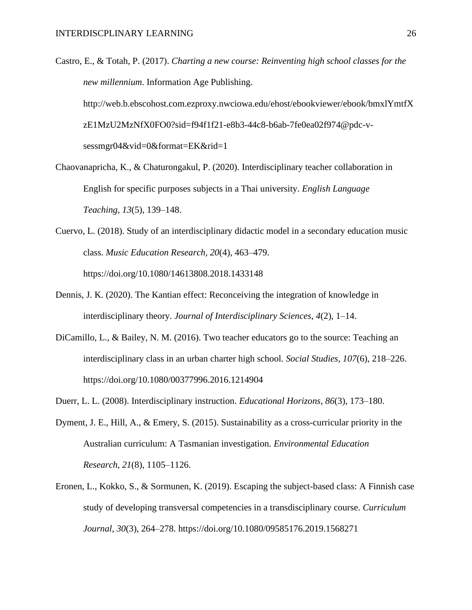- Castro, E., & Totah, P. (2017). *Charting a new course: Reinventing high school classes for the new millennium*. Information Age Publishing. http://web.b.ebscohost.com.ezproxy.nwciowa.edu/ehost/ebookviewer/ebook/bmxlYmtfX zE1MzU2MzNfX0FO0?sid=f94f1f21-e8b3-44c8-b6ab-7fe0ea02f974@pdc-vsessmgr04&vid=0&format=EK&rid=1
- Chaovanapricha, K., & Chaturongakul, P. (2020). Interdisciplinary teacher collaboration in English for specific purposes subjects in a Thai university. *English Language Teaching*, *13*(5), 139–148.
- Cuervo, L. (2018). Study of an interdisciplinary didactic model in a secondary education music class. *Music Education Research, 20*(4), 463–479. https://doi.org/10.1080/14613808.2018.1433148
- Dennis, J. K. (2020). The Kantian effect: Reconceiving the integration of knowledge in interdisciplinary theory. *Journal of Interdisciplinary Sciences*, *4*(2), 1–14.
- DiCamillo, L., & Bailey, N. M. (2016). Two teacher educators go to the source: Teaching an interdisciplinary class in an urban charter high school. *Social Studies, 107*(6), 218–226. https://doi.org/10.1080/00377996.2016.1214904
- Duerr, L. L. (2008). Interdisciplinary instruction. *Educational Horizons*, *86*(3), 173–180.
- Dyment, J. E., Hill, A., & Emery, S. (2015). Sustainability as a cross-curricular priority in the Australian curriculum: A Tasmanian investigation. *Environmental Education Research*, *21*(8), 1105–1126.
- Eronen, L., Kokko, S., & Sormunen, K. (2019). Escaping the subject-based class: A Finnish case study of developing transversal competencies in a transdisciplinary course. *Curriculum Journal*, *30*(3), 264–278. https://doi.org/10.1080/09585176.2019.1568271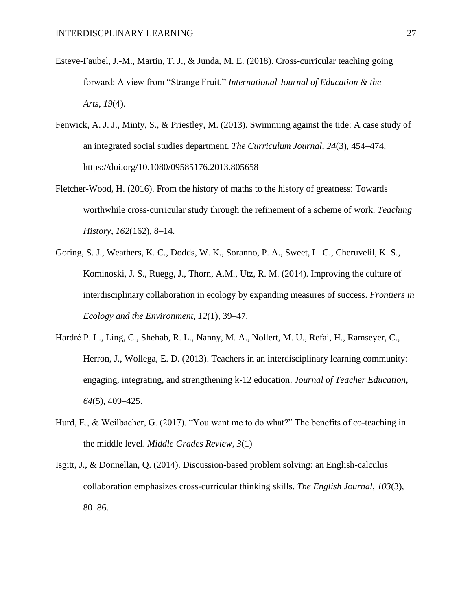- Esteve-Faubel, J.-M., Martin, T. J., & Junda, M. E. (2018). Cross-curricular teaching going forward: A view from "Strange Fruit." *International Journal of Education & the Arts*, *19*(4).
- Fenwick, A. J. J., Minty, S., & Priestley, M. (2013). Swimming against the tide: A case study of an integrated social studies department. *The Curriculum Journal*, *24*(3), 454–474. https://doi.org/10.1080/09585176.2013.805658
- Fletcher-Wood, H. (2016). From the history of maths to the history of greatness: Towards worthwhile cross-curricular study through the refinement of a scheme of work. *Teaching History*, *162*(162), 8–14.
- Goring, S. J., Weathers, K. C., Dodds, W. K., Soranno, P. A., Sweet, L. C., Cheruvelil, K. S., Kominoski, J. S., Ruegg, J., Thorn, A.M., Utz, R. M. (2014). Improving the culture of interdisciplinary collaboration in ecology by expanding measures of success. *Frontiers in Ecology and the Environment*, *12*(1), 39–47.
- Hardré P. L., Ling, C., Shehab, R. L., Nanny, M. A., Nollert, M. U., Refai, H., Ramseyer, C., Herron, J., Wollega, E. D. (2013). Teachers in an interdisciplinary learning community: engaging, integrating, and strengthening k-12 education. *Journal of Teacher Education, 64*(5), 409–425.
- Hurd, E., & Weilbacher, G. (2017). "You want me to do what?" The benefits of co-teaching in the middle level. *Middle Grades Review*, *3*(1)
- Isgitt, J., & Donnellan, Q. (2014). Discussion-based problem solving: an English-calculus collaboration emphasizes cross-curricular thinking skills. *The English Journal*, *103*(3), 80–86.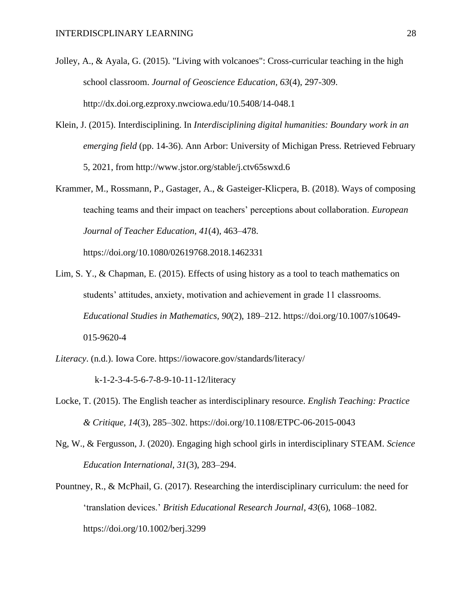- Jolley, A., & Ayala, G. (2015). "Living with volcanoes": Cross-curricular teaching in the high school classroom. *Journal of Geoscience Education, 63*(4), 297-309. http://dx.doi.org.ezproxy.nwciowa.edu/10.5408/14-048.1
- Klein, J. (2015). Interdisciplining. In *Interdisciplining digital humanities: Boundary work in an emerging field* (pp. 14-36). Ann Arbor: University of Michigan Press. Retrieved February 5, 2021, from http://www.jstor.org/stable/j.ctv65swxd.6
- Krammer, M., Rossmann, P., Gastager, A., & Gasteiger-Klicpera, B. (2018). Ways of composing teaching teams and their impact on teachers' perceptions about collaboration. *European Journal of Teacher Education, 41*(4), 463–478.

https://doi.org/10.1080/02619768.2018.1462331

- Lim, S. Y., & Chapman, E. (2015). Effects of using history as a tool to teach mathematics on students' attitudes, anxiety, motivation and achievement in grade 11 classrooms. *Educational Studies in Mathematics, 90*(2), 189–212. https://doi.org/10.1007/s10649- 015-9620-4
- *Literacy*. (n.d.). Iowa Core. https://iowacore.gov/standards/literacy/

k-1-2-3-4-5-6-7-8-9-10-11-12/literacy

- Locke, T. (2015). The English teacher as interdisciplinary resource. *English Teaching: Practice & Critique, 14*(3), 285–302. https://doi.org/10.1108/ETPC-06-2015-0043
- Ng, W., & Fergusson, J. (2020). Engaging high school girls in interdisciplinary STEAM. *Science Education International*, *31*(3), 283–294.
- Pountney, R., & McPhail, G. (2017). Researching the interdisciplinary curriculum: the need for 'translation devices.' *British Educational Research Journal*, *43*(6), 1068–1082. https://doi.org/10.1002/berj.3299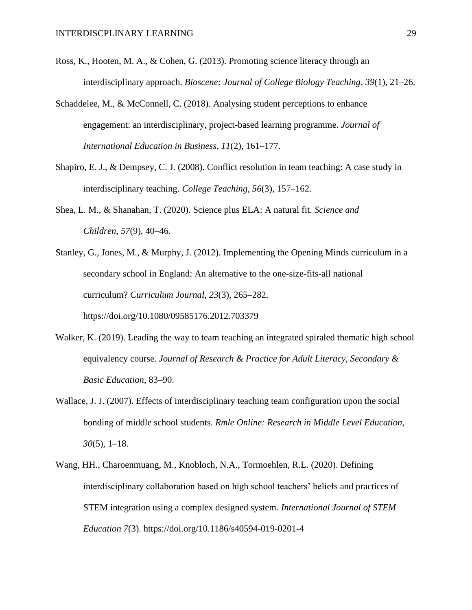- Ross, K., Hooten, M. A., & Cohen, G. (2013). Promoting science literacy through an interdisciplinary approach. *Bioscene: Journal of College Biology Teaching*, *39*(1), 21–26.
- Schaddelee, M., & McConnell, C. (2018). Analysing student perceptions to enhance engagement: an interdisciplinary, project-based learning programme. *Journal of International Education in Business*, *11*(2), 161–177.
- Shapiro, E. J., & Dempsey, C. J. (2008). Conflict resolution in team teaching: A case study in interdisciplinary teaching. *College Teaching*, *56*(3), 157–162.
- Shea, L. M., & Shanahan, T. (2020). Science plus ELA: A natural fit. *Science and Children*, *57*(9), 40–46.
- Stanley, G., Jones, M., & Murphy, J. (2012). Implementing the Opening Minds curriculum in a secondary school in England: An alternative to the one-size-fits-all national curriculum? *Curriculum Journal*, *23*(3), 265–282. https://doi.org/10.1080/09585176.2012.703379
- Walker, K. (2019). Leading the way to team teaching an integrated spiraled thematic high school equivalency course. *Journal of Research & Practice for Adult Literacy, Secondary & Basic Education*, 83–90.
- Wallace, J. J. (2007). Effects of interdisciplinary teaching team configuration upon the social bonding of middle school students. *Rmle Online: Research in Middle Level Education*, *30*(5), 1–18.
- Wang, HH., Charoenmuang, M., Knobloch, N.A., Tormoehlen, R.L. (2020). Defining interdisciplinary collaboration based on high school teachers' beliefs and practices of STEM integration using a complex designed system*. International Journal of STEM Education 7*(3). https://doi.org/10.1186/s40594-019-0201-4